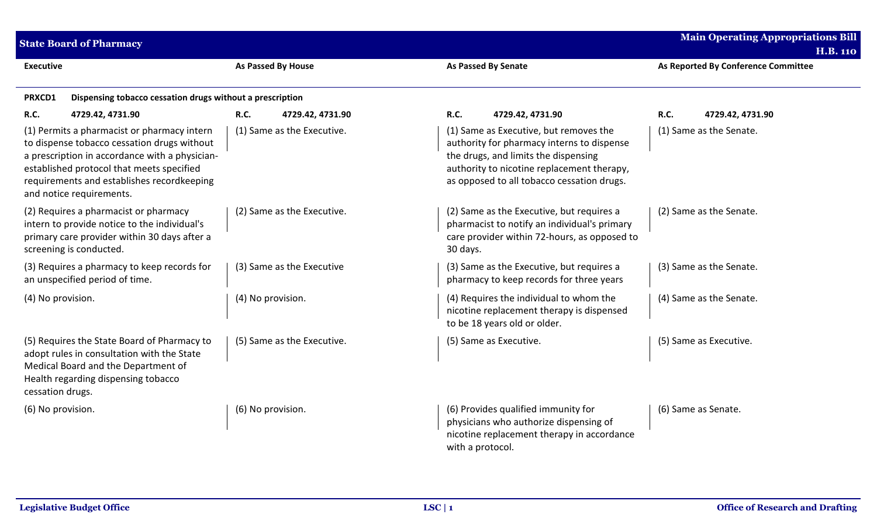| <b>Main Operating Appropriations Bill</b><br><b>State Board of Pharmacy</b><br><b>H.B. 110</b>                                                                                                                                                                      |                                                                               |                                 |                  |                                                                                                                                                                                                                          |                                                                                       |                                     |                         |
|---------------------------------------------------------------------------------------------------------------------------------------------------------------------------------------------------------------------------------------------------------------------|-------------------------------------------------------------------------------|---------------------------------|------------------|--------------------------------------------------------------------------------------------------------------------------------------------------------------------------------------------------------------------------|---------------------------------------------------------------------------------------|-------------------------------------|-------------------------|
| <b>Executive</b>                                                                                                                                                                                                                                                    |                                                                               | As Passed By House              |                  | <b>As Passed By Senate</b>                                                                                                                                                                                               |                                                                                       | As Reported By Conference Committee |                         |
| PRXCD1                                                                                                                                                                                                                                                              | Dispensing tobacco cessation drugs without a prescription                     |                                 |                  |                                                                                                                                                                                                                          |                                                                                       |                                     |                         |
| R.C.                                                                                                                                                                                                                                                                | 4729.42, 4731.90                                                              | <b>R.C.</b><br>4729.42, 4731.90 | <b>R.C.</b>      |                                                                                                                                                                                                                          | 4729.42, 4731.90                                                                      | R.C.                                | 4729.42, 4731.90        |
| (1) Permits a pharmacist or pharmacy intern<br>to dispense tobacco cessation drugs without<br>a prescription in accordance with a physician-<br>established protocol that meets specified<br>requirements and establishes recordkeeping<br>and notice requirements. |                                                                               | (1) Same as the Executive.      |                  | (1) Same as Executive, but removes the<br>authority for pharmacy interns to dispense<br>the drugs, and limits the dispensing<br>authority to nicotine replacement therapy,<br>as opposed to all tobacco cessation drugs. |                                                                                       | (1) Same as the Senate.             |                         |
| (2) Requires a pharmacist or pharmacy<br>intern to provide notice to the individual's<br>primary care provider within 30 days after a<br>screening is conducted.                                                                                                    |                                                                               | (2) Same as the Executive.      |                  | (2) Same as the Executive, but requires a<br>pharmacist to notify an individual's primary<br>care provider within 72-hours, as opposed to<br>30 days.                                                                    |                                                                                       | (2) Same as the Senate.             |                         |
|                                                                                                                                                                                                                                                                     | (3) Requires a pharmacy to keep records for<br>an unspecified period of time. | (3) Same as the Executive       |                  |                                                                                                                                                                                                                          | (3) Same as the Executive, but requires a<br>pharmacy to keep records for three years |                                     | (3) Same as the Senate. |
| (4) No provision.                                                                                                                                                                                                                                                   |                                                                               | (4) No provision.               |                  | (4) Requires the individual to whom the<br>nicotine replacement therapy is dispensed<br>to be 18 years old or older.                                                                                                     |                                                                                       | (4) Same as the Senate.             |                         |
| (5) Requires the State Board of Pharmacy to<br>adopt rules in consultation with the State<br>Medical Board and the Department of<br>Health regarding dispensing tobacco<br>cessation drugs.                                                                         |                                                                               | (5) Same as the Executive.      |                  | (5) Same as Executive.                                                                                                                                                                                                   |                                                                                       |                                     | (5) Same as Executive.  |
| (6) No provision.<br>(6) No provision.                                                                                                                                                                                                                              |                                                                               |                                 | with a protocol. | (6) Provides qualified immunity for<br>physicians who authorize dispensing of<br>nicotine replacement therapy in accordance                                                                                              | (6) Same as Senate.                                                                   |                                     |                         |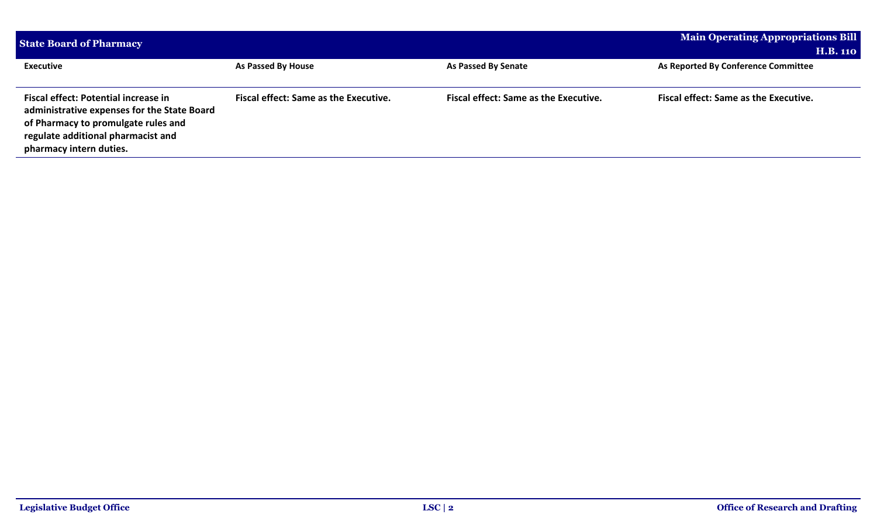| <b>State Board of Pharmacy</b>                                                     | <b>Main Operating Appropriations Bill</b>    |                                              |                                              |
|------------------------------------------------------------------------------------|----------------------------------------------|----------------------------------------------|----------------------------------------------|
|                                                                                    |                                              |                                              | <b>H.B. 110</b>                              |
| <b>Executive</b>                                                                   | As Passed By House                           | As Passed By Senate                          | As Reported By Conference Committee          |
|                                                                                    |                                              |                                              |                                              |
| Fiscal effect: Potential increase in                                               | <b>Fiscal effect: Same as the Executive.</b> | <b>Fiscal effect: Same as the Executive.</b> | <b>Fiscal effect: Same as the Executive.</b> |
| administrative expenses for the State Board<br>of Pharmacy to promulgate rules and |                                              |                                              |                                              |
| regulate additional pharmacist and                                                 |                                              |                                              |                                              |
| pharmacy intern duties.                                                            |                                              |                                              |                                              |
|                                                                                    |                                              |                                              |                                              |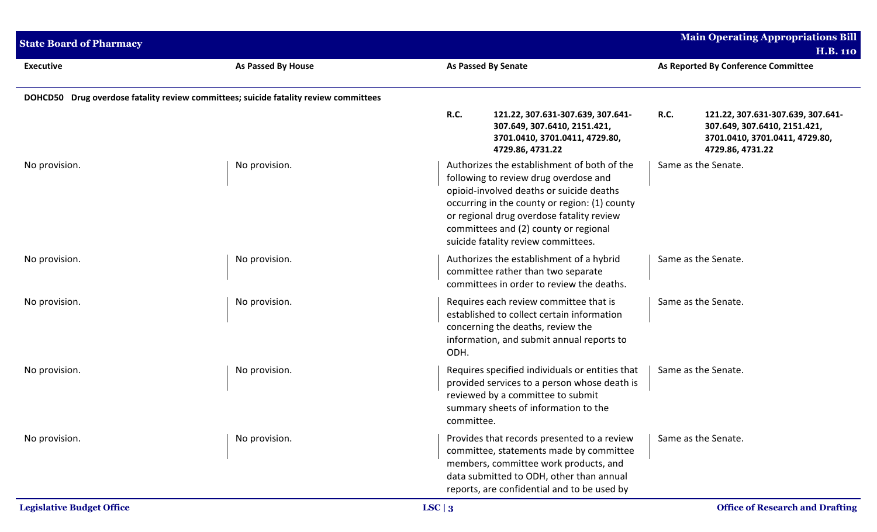| <b>State Board of Pharmacy</b>   |                                                                                      |                                                                                                                                                                                            |                                                                                                                                                                                                                                                                                                                |                                     | <b>Main Operating Appropriations Bill</b><br><b>H.B. 110</b>                                                            |  |
|----------------------------------|--------------------------------------------------------------------------------------|--------------------------------------------------------------------------------------------------------------------------------------------------------------------------------------------|----------------------------------------------------------------------------------------------------------------------------------------------------------------------------------------------------------------------------------------------------------------------------------------------------------------|-------------------------------------|-------------------------------------------------------------------------------------------------------------------------|--|
| <b>Executive</b>                 | As Passed By House                                                                   | <b>As Passed By Senate</b>                                                                                                                                                                 |                                                                                                                                                                                                                                                                                                                | As Reported By Conference Committee |                                                                                                                         |  |
|                                  | DOHCD50 Drug overdose fatality review committees; suicide fatality review committees |                                                                                                                                                                                            |                                                                                                                                                                                                                                                                                                                |                                     |                                                                                                                         |  |
|                                  |                                                                                      | R.C.                                                                                                                                                                                       | 121.22, 307.631-307.639, 307.641-<br>307.649, 307.6410, 2151.421,<br>3701.0410, 3701.0411, 4729.80,<br>4729.86, 4731.22                                                                                                                                                                                        | <b>R.C.</b>                         | 121.22, 307.631-307.639, 307.641-<br>307.649, 307.6410, 2151.421,<br>3701.0410, 3701.0411, 4729.80,<br>4729.86, 4731.22 |  |
| No provision.                    | No provision.                                                                        |                                                                                                                                                                                            | Authorizes the establishment of both of the<br>following to review drug overdose and<br>opioid-involved deaths or suicide deaths<br>occurring in the county or region: (1) county<br>or regional drug overdose fatality review<br>committees and (2) county or regional<br>suicide fatality review committees. |                                     | Same as the Senate.                                                                                                     |  |
| No provision.                    | No provision.                                                                        | Authorizes the establishment of a hybrid<br>committee rather than two separate<br>committees in order to review the deaths.                                                                |                                                                                                                                                                                                                                                                                                                |                                     | Same as the Senate.                                                                                                     |  |
| No provision.                    | No provision.                                                                        | Requires each review committee that is<br>established to collect certain information<br>concerning the deaths, review the<br>information, and submit annual reports to<br>ODH.             |                                                                                                                                                                                                                                                                                                                |                                     | Same as the Senate.                                                                                                     |  |
| No provision.                    | No provision.                                                                        | Requires specified individuals or entities that<br>provided services to a person whose death is<br>reviewed by a committee to submit<br>summary sheets of information to the<br>committee. |                                                                                                                                                                                                                                                                                                                | Same as the Senate.                 |                                                                                                                         |  |
| No provision.                    | No provision.                                                                        |                                                                                                                                                                                            | Provides that records presented to a review<br>committee, statements made by committee<br>members, committee work products, and<br>data submitted to ODH, other than annual<br>reports, are confidential and to be used by                                                                                     |                                     | Same as the Senate.                                                                                                     |  |
| <b>Legislative Budget Office</b> |                                                                                      | LSC   3                                                                                                                                                                                    |                                                                                                                                                                                                                                                                                                                |                                     | <b>Office of Research and Drafting</b>                                                                                  |  |